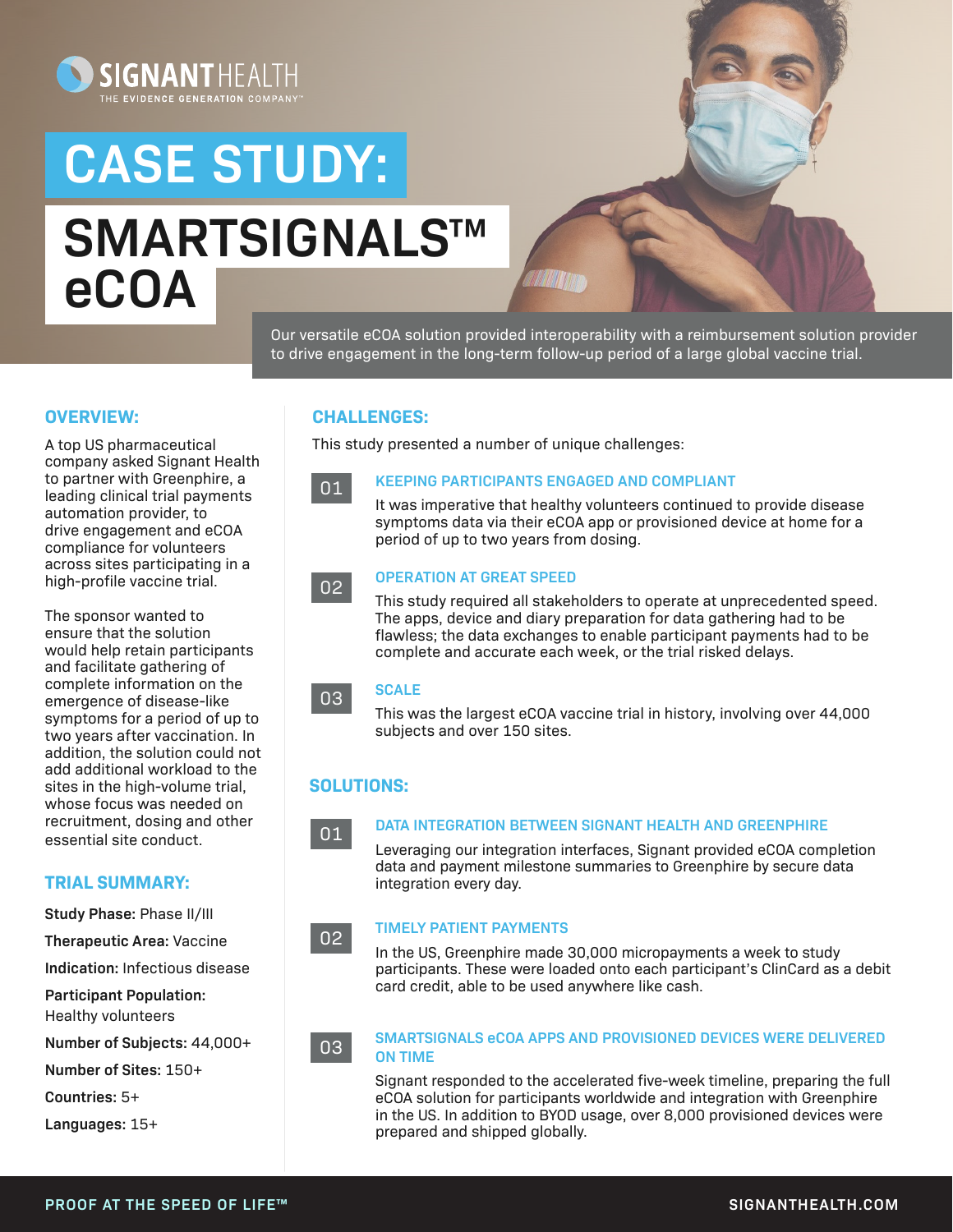

# **CASE STUDY: SMARTSIGNALS**™ **eCOA**



Our versatile eCOA solution provided interoperability with a reimbursement solution provider to drive engagement in the long-term follow-up period of a large global vaccine trial.

#### **OVERVIEW:**

A top US pharmaceutical company asked Signant Health to partner with Greenphire, a leading clinical trial payments automation provider, to drive engagement and eCOA compliance for volunteers across sites participating in a high-profile vaccine trial.

The sponsor wanted to ensure that the solution would help retain participants and facilitate gathering of complete information on the emergence of disease-like symptoms for a period of up to two years after vaccination. In addition, the solution could not add additional workload to the sites in the high-volume trial, whose focus was needed on recruitment, dosing and other essential site conduct.

#### **TRIAL SUMMARY:**

**Study Phase:** Phase II/III

**Therapeutic Area:** Vaccine

**Indication:** Infectious disease

**Participant Population:**  Healthy volunteers

**Number of Subjects:** 44,000+

**Number of Sites:** 150+

**Countries:** 5+

**Languages:** 15+

#### **CHALLENGES:**

This study presented a number of unique challenges:



#### **KEEPING PARTICIPANTS ENGAGED AND COMPLIANT**

It was imperative that healthy volunteers continued to provide disease symptoms data via their eCOA app or provisioned device at home for a period of up to two years from dosing.



#### **OPERATION AT GREAT SPEED**

This study required all stakeholders to operate at unprecedented speed. The apps, device and diary preparation for data gathering had to be flawless; the data exchanges to enable participant payments had to be complete and accurate each week, or the trial risked delays.

#### **SCALE**  03

This was the largest eCOA vaccine trial in history, involving over 44,000 subjects and over 150 sites.

#### **SOLUTIONS:**

#### 01

02

#### **DATA INTEGRATION BETWEEN SIGNANT HEALTH AND GREENPHIRE**

Leveraging our integration interfaces, Signant provided eCOA completion data and payment milestone summaries to Greenphire by secure data integration every day.

#### **TIMELY PATIENT PAYMENTS**

In the US, Greenphire made 30,000 micropayments a week to study participants. These were loaded onto each participant's ClinCard as a debit card credit, able to be used anywhere like cash.

03

#### **SMARTSIGNALS eCOA APPS AND PROVISIONED DEVICES WERE DELIVERED ON TIME**

Signant responded to the accelerated five-week timeline, preparing the full eCOA solution for participants worldwide and integration with Greenphire in the US. In addition to BYOD usage, over 8,000 provisioned devices were prepared and shipped globally.